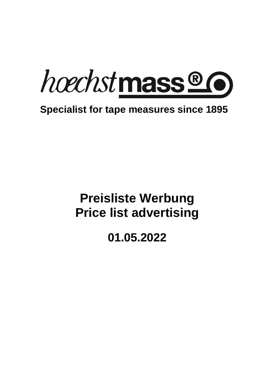

## **Specialist for tape measures since 1895**

# **Preisliste Werbung Price list advertising**

## **01.05.2022**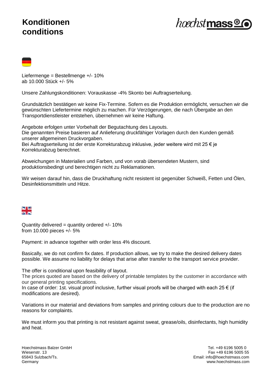#### **Preisliste Werbung Price list advertising Konditionen 01.05.2022 conditions**



| _____ |  |
|-------|--|
|       |  |

Liefermenge = Bestellmenge +/- 10% ab 10.000 Stück +/- 5%

Unsere Zahlungskonditionen: Vorauskasse -4% Skonto bei Auftragserteilung.

Grundsätzlich bestätigen wir keine Fix-Termine. Sofern es die Produktion ermöglicht, versuchen wir die gewünschten Liefertermine möglich zu machen. Für Verzögerungen, die nach Übergabe an den Transportdienstleister entstehen, übernehmen wir keine Haftung.

Angebote erfolgen unter Vorbehalt der Begutachtung des Layouts. Die genannten Preise basieren auf Anlieferung druckfähiger Vorlagen durch den Kunden gemäß unserer allgemeinen Druckvorgaben.

Bei Auftragserteilung ist der erste Korrekturabzug inklusive, jeder weitere wird mit 25 € je Korrekturabzug berechnet.

Abweichungen in Materialien und Farben, und von vorab übersendeten Mustern, sind produktionsbedingt und berechtigen nicht zu Reklamationen.

Wir weisen darauf hin, dass die Druckhaftung nicht resistent ist gegenüber Schweiß, Fetten und Ölen, Desinfektionsmitteln und Hitze.



Quantity delivered = quantity ordered  $+/-10\%$ from 10.000 pieces +/- 5%

Payment: in advance together with order less 4% discount.

Basically, we do not confirm fix dates. If production allows, we try to make the desired delivery dates possible. We assume no liability for delays that arise after transfer to the transport service provider.

The offer is conditional upon feasibility of layout.

The prices quoted are based on the delivery of printable templates by the customer in accordance with our general printing specifications.

In case of order: 1st. visual proof inclusive, further visual proofs will be charged with each  $25 \in$  (if modifications are desired).

Variations in our material and deviations from samples and printing colours due to the production are no reasons for complaints.

We must inform you that printing is not resistant against sweat, grease/oils, disinfectants, high humidity and heat.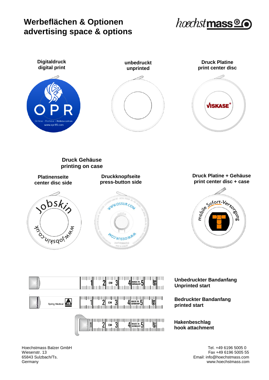#### $P_{\text{max}}$ **Werbeflächen & Optionen 01.05.2022 advertising space & options**





**hook attachment**

Hoechstmass Balzer GmbH Tel. +49 6196 5005 0 Fax +49 6196 5005 55 65843 Sulzbach/Ts. Email: info@hoechstmass.com Germany www.hoechstmass.com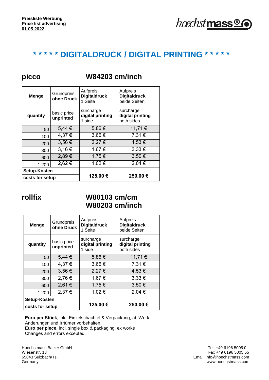

### **\* \* \* \* \* DIGITALDRUCK / DIGITAL PRINTING \* \* \* \* \***

#### **Menge** Grundpreis **ohne Druck** Aufpreis **Digitaldruck**  1 Seite Aufpreis **Digitaldruck**  beide Seiten **quantity basic price unprinted** surcharge **digital printing** 1 side surcharge **digital printing** both sides  $50$  5,44 €  $\begin{array}{|c|c|c|c|c|} \hline 5,86 & \infty & 11,71 & \infty \ \hline \end{array}$  $100$  4,37 € 3,66 € 7,31 €  $200$  3,56 € 2,27 € 4,53 €  $300$  3,16 € 1,67 € 3,33 €  $\begin{array}{|c|c|c|c|c|c|c|c|} \hline 600 & 2,89 & \text{\textendash} & 1,75 & \text{\textendash} & 3,50 & \text{\textendash}$ 1.200 2,62 € 1,02 € 2,04 € **Setup-Kosten 125,00 € 250,00 € costs for setup**

**picco W84203 cm/inch**

#### **rollfix W80103 cm/cm W80203 cm/inch**

| <b>Menge</b>    | Grundpreis<br>ohne Druck | Aufpreis<br><b>Digitaldruck</b><br>1 Seite | Aufpreis<br><b>Digitaldruck</b><br>beide Seiten |
|-----------------|--------------------------|--------------------------------------------|-------------------------------------------------|
| quantity        | basic price<br>unprinted | surcharge<br>digital printing<br>1 side    | surcharge<br>digital printing<br>both sides     |
| 50              | $5,44 \in$               | 5,86€                                      | 11,71 €                                         |
| 100             | 4,37 €                   | 3,66€                                      | 7,31 €                                          |
| 200             | 3,56 €                   | 2,27€                                      | 4,53 €                                          |
| 300             | 2,76€                    | 1,67€                                      | $3,33 \in$                                      |
| 600             | 2,61€                    | 1,75€                                      | 3,50 €                                          |
| 1.200           | 2,37€                    | 1,02€                                      | 2,04 €                                          |
| Setup-Kosten    |                          |                                            |                                                 |
| costs for setup |                          | 125,00€                                    | 250,00€                                         |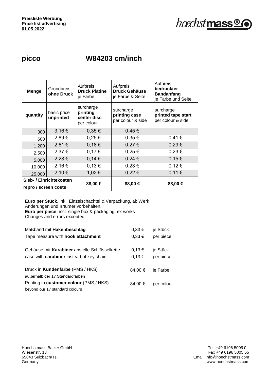hoechst mass<sup>®</sup>

### **picco W84203 cm/inch**

| <b>Menge</b>            | Grundpreis<br>ohne Druck | Aufpreis<br><b>Druck Platine</b><br>je Farbe       | Aufpreis<br><b>Druck Gehäuse</b><br>je Farbe & Seite | Aufpreis<br>bedruckter<br><b>Bandanfang</b><br>je Farbe und Seite |
|-------------------------|--------------------------|----------------------------------------------------|------------------------------------------------------|-------------------------------------------------------------------|
| quantity                | basic price<br>unprinted | surcharge<br>printing<br>center disc<br>per colour | surcharge<br>printing case<br>per colour & side      | surcharge<br>printed tape start<br>per colour & side              |
| 300                     | 3,16€                    | 0,35€                                              | 0,45€                                                |                                                                   |
| 600                     | 2,89€                    | $0,25 \in$                                         | 0,35€                                                | 0,41€                                                             |
| 1.200                   | 2,61€                    | 0,18€                                              | 0,27€                                                | $0,29 \in$                                                        |
| 2.500                   | 2,37€                    | 0,17€                                              | $0,25 \in$                                           | 0,23€                                                             |
| 5.000                   | 2,28€                    | 0,14€                                              | $0,24 \in$                                           | 0,15€                                                             |
| 10.000                  | 2,16€                    | 0,13€                                              | $0,23 \in$                                           | 0,12€                                                             |
| 25.000                  | 2,10€                    | 1,02€                                              | $0,22 \in$                                           | 0,11€                                                             |
| Sieb- / Einrichtekosten |                          | 88,00€                                             | 88,00€                                               | 88,00€                                                            |
| repro / screen costs    |                          |                                                    |                                                      |                                                                   |

| Maßband mit <b>Hakenbeschlag</b>                                           | $0,33 \in$ | je Stück   |
|----------------------------------------------------------------------------|------------|------------|
| Tape measure with <b>hook attachment</b>                                   | $0,33 \in$ | per piece  |
| Gehäuse mit Karabiner anstelle Schlüsselkette                              | 0,13€      | je Stück   |
| case with <b>carabiner</b> instead of key chain                            | 0,13€      | per piece  |
| Druck in <b>Kundenfarbe</b> (PMS / HKS)<br>außerhalb der 17 Standardfarben | 84.00 €    | je Farbe   |
| Printing in customer colour (PMS / HKS)<br>beyond our 17 standard colours  | 84.00 €    | per colour |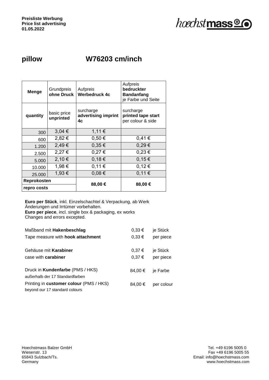

## **pillow W76203 cm/inch**

| <b>Menge</b> | Grundpreis<br>ohne Druck | Aufpreis<br><b>Werbedruck 4c</b>       | Aufpreis<br>bedruckter<br><b>Bandanfang</b><br>je Farbe und Seite |
|--------------|--------------------------|----------------------------------------|-------------------------------------------------------------------|
| quantity     | basic price<br>unprinted | surcharge<br>advertising imprint<br>4c | surcharge<br>printed tape start<br>per colour & side              |
| 300          | 3,04 €                   | 1,11€                                  |                                                                   |
| 600          | 2,82€                    | 0,50€                                  | 0,41€                                                             |
| 1.200        | 2,49€                    | $0,35 \in$                             | 0,29€                                                             |
| 2.500        | 2,27 €                   | 0,27€                                  | $0,23 \in$                                                        |
| 5.000        | 2,10€                    | 0,18€                                  | 0,15€                                                             |
| 10.000       | 1,98 €                   | 0,11€                                  | 0,12€                                                             |
| 25.000       | 1,93 €                   | $0,08 \in$                             | 0,11€                                                             |
| Reprokosten  |                          |                                        |                                                                   |
| repro costs  |                          | 88,00€                                 | 88,00€                                                            |

| Maßband mit Hakenbeschlag                                                  | $0,33 \in$     | je Stück              |
|----------------------------------------------------------------------------|----------------|-----------------------|
| Tape measure with hook attachment                                          | $0,33 \in$     | per piece             |
| Gehäuse mit Karabiner<br>case with <b>carabiner</b>                        | 0,37€<br>0,37€ | je Stück<br>per piece |
| Druck in <b>Kundenfarbe</b> (PMS / HKS)<br>außerhalb der 17 Standardfarben | 84.00 €        | je Farbe              |
| Printing in customer colour (PMS / HKS)<br>beyond our 17 standard colours  | 84.00 €        | per colour            |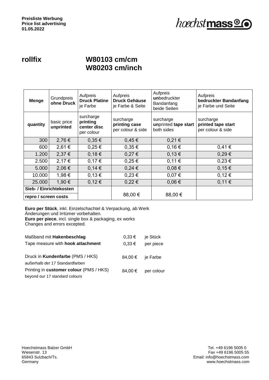#### **rollfix W80103 cm/cm W80203 cm/inch**

| <b>Menge</b>         | Grundpreis<br>ohne Druck | Aufpreis<br><b>Druck Platine</b><br>je Farbe       | Aufpreis<br><b>Druck Gehäuse</b><br>je Farbe & Seite | Aufpreis<br>unbedruckter<br>Bandanfang<br>beide Seiten | Aufpreis<br>bedruckter Bandanfang<br>je Farbe und Seite |
|----------------------|--------------------------|----------------------------------------------------|------------------------------------------------------|--------------------------------------------------------|---------------------------------------------------------|
| quantity             | basic price<br>unprinted | surcharge<br>printing<br>center disc<br>per colour | surcharge<br>printing case<br>per colour & side      | surcharge<br>unprinted tape start<br>both sides        | surcharge<br>printed tape start<br>per colour & side    |
| 300                  | 2,76€                    | 0,35€                                              | 0,45€                                                | 0,21€                                                  |                                                         |
| 600                  | 2,61 €                   | $0,25 \in$                                         | $0,35 \in$                                           | 0,16€                                                  | 0,41€                                                   |
| 1.200                | 2,37€                    | 0,18€                                              | 0,27€                                                | 0,13€                                                  | 0,29€                                                   |
| 2.500                | 2,17€                    | 0,17€                                              | $0,25 \in$                                           | 0,11€                                                  | 0,23€                                                   |
| 5.000                | 2,06€                    | 0,14€                                              | $0,24 \in$                                           | 0,08€                                                  | 0,15€                                                   |
| 10.000               | 1,98 €                   | 0,13€                                              | 0,23€                                                | 0,07€                                                  | 0,12€                                                   |
| 25.000               | 1,90 €                   | 0,12€                                              | $0,22 \in$                                           | 0,06€                                                  | 0,11€                                                   |
| repro / screen costs | Sieb- / Einrichtekosten  |                                                    | 88,00 €                                              | 88,00 €                                                |                                                         |

| Maßband mit Hakenbeschlag                | $0,33 \in$ | je Stück         |
|------------------------------------------|------------|------------------|
| Tape measure with <b>hook attachment</b> | $0.33 \in$ | per piece        |
| Druck in Kundenfarbe (PMS / HKS)         |            | 84,00 € je Farbe |
| außerhalb der 17 Standardfarben          |            |                  |
| Printing in customer colour (PMS / HKS)  | 84,00 €    | per colour       |
| beyond our 17 standard colours           |            |                  |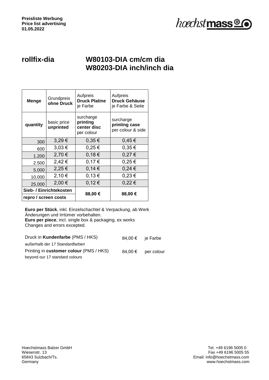

#### **rollfix-dia W80103-DIA cm/cm dia W80203-DIA inch/inch dia**

| Menge                   | Grundpreis<br>ohne Druck | Aufpreis<br><b>Druck Platine</b><br>je Farbe       | Aufpreis<br><b>Druck Gehäuse</b><br>je Farbe & Seite |
|-------------------------|--------------------------|----------------------------------------------------|------------------------------------------------------|
| quantity                | basic price<br>unprinted | surcharge<br>printing<br>center disc<br>per colour | surcharge<br>printing case<br>per colour & side      |
| 300                     | 3,29€                    | 0,35€                                              | 0,45€                                                |
| 600                     | 3,03€                    | $0,25 \in$                                         | $0.35 \in$                                           |
| 1.200                   | 2,70 €                   | 0,18€                                              | 0,27€                                                |
| 2.500                   | 2,42 €                   | 0,17€                                              | $0,25 \in$                                           |
| 5.000                   | 2,25€                    | 0,14€                                              | $0,24 \in$                                           |
| 10.000                  | 2,10€                    | 0,13€                                              | $0,23 \in$                                           |
| 25.000                  | 2,00 €                   | 0,12€                                              | 0,22€                                                |
| Sieb- / Einrichtekosten |                          | 88,00€                                             | 88,00€                                               |
| repro / screen costs    |                          |                                                    |                                                      |

| Druck in Kundenfarbe (PMS / HKS)        | 84,00 € ie Farbe   |
|-----------------------------------------|--------------------|
| außerhalb der 17 Standardfarben         |                    |
| Printing in customer colour (PMS / HKS) | 84,00 € per colour |
| beyond our 17 standard colours          |                    |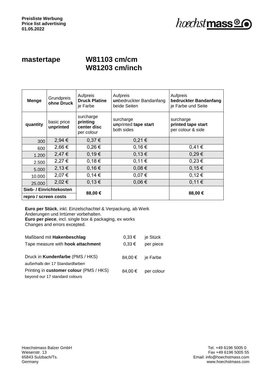#### **mastertape W81103 cm/cm W81203 cm/inch**

| <b>Menge</b>                                    | Grundpreis<br>ohne Druck | Aufpreis<br><b>Druck Platine</b><br>je Farbe       | Aufpreis<br>unbedruckter Bandanfang<br>beide Seiten | Aufpreis<br>bedruckter Bandanfang<br>je Farbe und Seite |
|-------------------------------------------------|--------------------------|----------------------------------------------------|-----------------------------------------------------|---------------------------------------------------------|
| quantity                                        | basic price<br>unprinted | surcharge<br>printing<br>center disc<br>per colour | surcharge<br>unprinted tape start<br>both sides     | surcharge<br>printed tape start<br>per colour & side    |
| 300                                             | 2,94 €                   | 0,37€                                              | 0,21€                                               |                                                         |
| 600                                             | 2,66€                    | $0,26 \in$                                         | 0,16€                                               | 0,41€                                                   |
| 1.200                                           | 2,47€                    | 0,19€                                              | 0,13€                                               | 0,29€                                                   |
| 2.500                                           | 2,27€                    | 0,18€                                              | 0,11€                                               | 0,23€                                                   |
| 5.000                                           | 2,13€                    | 0,16€                                              | 0,08€                                               | 0,15€                                                   |
| 10.000                                          | 2,07€                    | 0,14€                                              | 0,07€                                               | 0,12€                                                   |
| 25.000                                          | 2,02€                    | 0,13€                                              | 0,06€                                               | 0,11€                                                   |
| Sieb- / Einrichtekosten<br>repro / screen costs |                          | 88,00€                                             |                                                     | 88,00 €                                                 |

| Maßband mit Hakenbeschlag               | $0,33 \in$       | je Stück   |
|-----------------------------------------|------------------|------------|
| Tape measure with hook attachment       | $0.33 \in$       | per piece  |
|                                         |                  |            |
| Druck in Kundenfarbe (PMS / HKS)        | 84,00 € ie Farbe |            |
| außerhalb der 17 Standardfarben         |                  |            |
| Printing in customer colour (PMS / HKS) | 84.00 €          | per colour |
| beyond our 17 standard colours          |                  |            |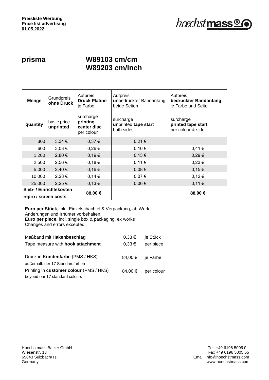

#### **prisma W89103 cm/cm W89203 cm/inch**

| <b>Menge</b>            | Grundpreis<br>ohne Druck | Aufpreis<br><b>Druck Platine</b><br>je Farbe       | Aufpreis<br>unbedruckter Bandanfang<br>beide Seiten | Aufpreis<br>bedruckter Bandanfang<br>je Farbe und Seite |
|-------------------------|--------------------------|----------------------------------------------------|-----------------------------------------------------|---------------------------------------------------------|
| quantity                | basic price<br>unprinted | surcharge<br>printing<br>center disc<br>per colour | surcharge<br>unprinted tape start<br>both sides     | surcharge<br>printed tape start<br>per colour & side    |
| 300                     | $3,34 \in$               | 0,37€                                              | 0,21€                                               |                                                         |
| 600                     | $3,03 \in$               | 0,26€                                              | 0,16€                                               | 0,41€                                                   |
| 1.200                   | 2,80 €                   | 0,19€                                              | 0,13€                                               | 0,29€                                                   |
| 2.500                   | 2,56 €                   | 0,18€                                              | 0,11€                                               | 0,23€                                                   |
| 5.000                   | 2,40 €                   | 0,16€                                              | 0,08€                                               | 0,15€                                                   |
| 10.000                  | 2,28€                    | 0,14€                                              | 0,07€                                               | 0,12€                                                   |
| 25,000                  | 2,25 €                   | 0,13€                                              | 0,06€                                               | 0,11€                                                   |
| Sieb- / Einrichtekosten |                          | 88,00€                                             |                                                     | 88,00€                                                  |
| repro / screen costs    |                          |                                                    |                                                     |                                                         |

| Maßband mit Hakenbeschlag               | $0,33 \in$       | je Stück   |
|-----------------------------------------|------------------|------------|
| Tape measure with hook attachment       | $0,33 \in$       | per piece  |
|                                         |                  |            |
| Druck in Kundenfarbe (PMS / HKS)        | 84,00 € ie Farbe |            |
| außerhalb der 17 Standardfarben         |                  |            |
| Printing in customer colour (PMS / HKS) | 84.00 €          | per colour |
| beyond our 17 standard colours          |                  |            |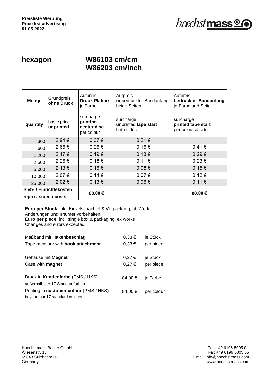

#### **hexagon W86103 cm/cm W86203 cm/inch**

| <b>Menge</b>            | Grundpreis<br>ohne Druck | Aufpreis<br><b>Druck Platine</b><br>je Farbe       | Aufpreis<br>unbedruckter Bandanfang<br>beide Seiten | Aufpreis<br>bedruckter Bandanfang<br>je Farbe und Seite |
|-------------------------|--------------------------|----------------------------------------------------|-----------------------------------------------------|---------------------------------------------------------|
| quantity                | basic price<br>unprinted | surcharge<br>printing<br>center disc<br>per colour | surcharge<br>unprinted tape start<br>both sides     | surcharge<br>printed tape start<br>per colour & side    |
| 300                     | 2,94 €                   | 0,37€                                              | 0,21€                                               |                                                         |
| 600                     | 2,66 €                   | $0,26 \in$                                         | 0,16€                                               | 0.41€                                                   |
| 1.200                   | 2,47€                    | 0,19€                                              | 0,13€                                               | 0,29€                                                   |
| 2.500                   | 2,26€                    | 0,18€                                              | 0,11€                                               | 0,23€                                                   |
| 5.000                   | 2,13€                    | 0,16€                                              | 0,08€                                               | 0,15€                                                   |
| 10.000                  | 2,07€                    | 0,14€                                              | 0,07€                                               | 0,12€                                                   |
| 25.000                  | 2,02€                    | 0,13€                                              | 0,06€                                               | 0,11€                                                   |
| Sieb- / Einrichtekosten |                          |                                                    |                                                     |                                                         |
| repro / screen costs    |                          | 88,00 €                                            |                                                     | 88,00€                                                  |

| Maßband mit Hakenbeschlag               | $0,33 \in$ | je Stück   |
|-----------------------------------------|------------|------------|
| Tape measure with hook attachment       | $0,33 \in$ | per piece  |
| Gehäuse mit Magnet                      | 0,27€      | je Stück   |
| Case with <b>magnet</b>                 | 0,27€      | per piece  |
| Druck in <b>Kundenfarbe</b> (PMS / HKS) | 84.00 €    | je Farbe   |
| außerhalb der 17 Standardfarben         |            |            |
| Printing in customer colour (PMS / HKS) | 84,00 €    | per colour |
| beyond our 17 standard colours          |            |            |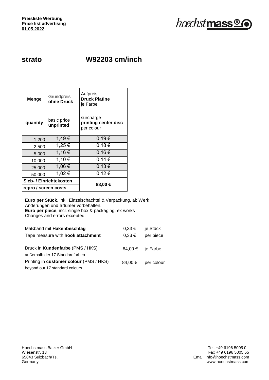

### **strato W92203 cm/inch**

| <b>Menge</b>         | Grundpreis<br>ohne Druck | Aufpreis<br><b>Druck Platine</b><br>je Farbe    |  |
|----------------------|--------------------------|-------------------------------------------------|--|
| quantity             | basic price<br>unprinted | surcharge<br>printing center disc<br>per colour |  |
| 1.200                | 1,49€                    | 0,19€                                           |  |
| 2.500                | 1,25 €                   | 0,18€                                           |  |
| 5.000                | 1,16€                    | 0,16€                                           |  |
| 10.000               | 1,10€                    | 0,14€                                           |  |
| 25.000               | 1,06 €                   | 0,13€                                           |  |
| 50.000               | 1,02€                    | 0,12€                                           |  |
|                      | Sieb- / Einrichtekosten  |                                                 |  |
| repro / screen costs |                          | 88,00 €                                         |  |

| Maßband mit Hakenbeschlag                                           | $0,33 \in$ | je Stück         |
|---------------------------------------------------------------------|------------|------------------|
| Tape measure with <b>hook attachment</b>                            | $0.33 \in$ | per piece        |
| Druck in Kundenfarbe (PMS / HKS)<br>außerhalb der 17 Standardfarben |            | 84,00 € je Farbe |
| Printing in customer colour (PMS / HKS)                             | 84,00 €    | per colour       |
| beyond our 17 standard colours                                      |            |                  |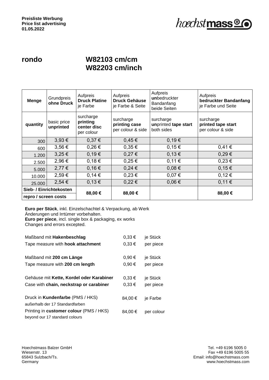#### **rondo W82103 cm/cm W82203 cm/inch**

| <b>Menge</b>            | Grundpreis<br>ohne Druck | Aufpreis<br><b>Druck Platine</b><br>je Farbe       | Aufpreis<br><b>Druck Gehäuse</b><br>je Farbe & Seite | Aufpreis<br>unbedruckter<br>Bandanfang<br>beide Seiten | Aufpreis<br>bedruckter Bandanfang<br>je Farbe und Seite |
|-------------------------|--------------------------|----------------------------------------------------|------------------------------------------------------|--------------------------------------------------------|---------------------------------------------------------|
| quantity                | basic price<br>unprinted | surcharge<br>printing<br>center disc<br>per colour | surcharge<br>printing case<br>per colour & side      | surcharge<br>unprinted tape start<br>both sides        | surcharge<br>printed tape start<br>per colour & side    |
| 300                     | $3,93 \in$               | 0,37€                                              | 0,45€                                                | 0,19€                                                  |                                                         |
| 600                     | $3,56 \in$               | 0,26€                                              | $0,35 \in$                                           | 0,15€                                                  | 0,41€                                                   |
| 1.200                   | $3,25 \in$               | 0,19€                                              | 0,27€                                                | 0,13€                                                  | 0,29€                                                   |
| 2.500                   | 2,96€                    | 0,18€                                              | $0,25 \in$                                           | 0,11€                                                  | 0,23€                                                   |
| 5.000                   | 2,77€                    | 0,16€                                              | $0,24 \in$                                           | 0,08€                                                  | 0,15€                                                   |
| 10.000                  | 2,59€                    | 0,14€                                              | 0,23€                                                | 0,07€                                                  | 0,12€                                                   |
| 25.000                  | 2,54€                    | 0,13€                                              | $0,22 \in$                                           | 0,06€                                                  | 0,11€                                                   |
| Sieb- / Einrichtekosten |                          | 88,00 €                                            | 88,00€                                               |                                                        | 88,00 €                                                 |
| repro / screen costs    |                          |                                                    |                                                      |                                                        |                                                         |

| Maßband mit Hakenbeschlag                | $0,33 \in$ | je Stück   |
|------------------------------------------|------------|------------|
| Tape measure with <b>hook attachment</b> | $0,33 \in$ | per piece  |
| Maßband mit 200 cm Länge                 | $0,90 \in$ | je Stück   |
| Tape measure with 200 cm length          | $0,90 \in$ | per piece  |
| Gehäuse mit Kette, Kordel oder Karabiner | $0.33 \in$ | je Stück   |
| Case with chain, neckstrap or carabiner  | $0,33 \in$ | per piece  |
| Druck in Kundenfarbe (PMS / HKS)         | 84.00 €    | je Farbe   |
| außerhalb der 17 Standardfarben          |            |            |
| Printing in customer colour (PMS / HKS)  | 84,00 €    | per colour |
| beyond our 17 standard colours           |            |            |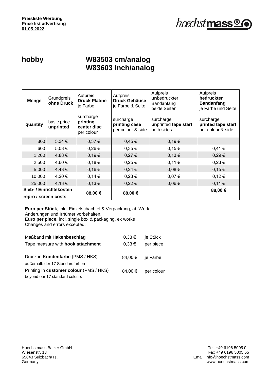

#### **hobby W83503 cm/analog W83603 inch/analog**

| <b>Menge</b>            | Grundpreis<br>ohne Druck | Aufpreis<br><b>Druck Platine</b><br>je Farbe       | Aufpreis<br><b>Druck Gehäuse</b><br>je Farbe & Seite | Aufpreis<br>unbedruckter<br>Bandanfang<br>beide Seiten | Aufpreis<br>bedruckter<br><b>Bandanfang</b><br>je Farbe und Seite |
|-------------------------|--------------------------|----------------------------------------------------|------------------------------------------------------|--------------------------------------------------------|-------------------------------------------------------------------|
| quantity                | basic price<br>unprinted | surcharge<br>printing<br>center disc<br>per colour | surcharge<br>printing case<br>per colour & side      | surcharge<br>unprinted tape start<br>both sides        | surcharge<br>printed tape start<br>per colour & side              |
| 300                     | 5,34 €                   | 0,37€                                              | 0,45€                                                | 0,19€                                                  |                                                                   |
| 600                     | 5,08€                    | $0,26 \in$                                         | $0,35 \in$                                           | $0,15 \in$                                             | 0,41€                                                             |
| 1.200                   | 4,88€                    | 0,19€                                              | 0,27€                                                | 0,13€                                                  | 0,29€                                                             |
| 2.500                   | 4,60 €                   | 0,18€                                              | $0,25 \in$                                           | 0,11€                                                  | 0,23€                                                             |
| 5.000                   | 4,43€                    | 0,16€                                              | 0,24€                                                | 0,08€                                                  | 0,15€                                                             |
| 10.000                  | 4,20€                    | $0,14 \in$                                         | 0,23€                                                | 0,07€                                                  | 0,12€                                                             |
| 25.000                  | 4,13€                    | 0,13€                                              | $0,22 \in$                                           | 0,06€                                                  | 0,11€                                                             |
| Sieb- / Einrichtekosten |                          | 88,00€                                             | 88,00 €                                              |                                                        | 88,00€                                                            |
| repro / screen costs    |                          |                                                    |                                                      |                                                        |                                                                   |

| Maßband mit Hakenbeschlag               | $0,33 \in$ | je Stück                  |
|-----------------------------------------|------------|---------------------------|
| Tape measure with hook attachment       | $0,33 \in$ | per piece                 |
|                                         |            |                           |
| Druck in Kundenfarbe (PMS / HKS)        |            | 84,00 $\epsilon$ je Farbe |
| außerhalb der 17 Standardfarben         |            |                           |
| Printing in customer colour (PMS / HKS) | 84.00 €    | per colour                |
| beyond our 17 standard colours          |            |                           |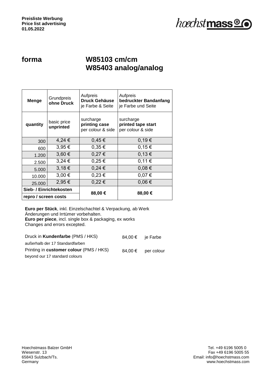

### **forma W85103 cm/cm W85403 analog/analog**

| Menge                | <b>Grundpreis</b><br>ohne Druck | Aufpreis<br>Druck Gehäuse<br>je Farbe & Seite   | Aufpreis<br>bedruckter Bandanfang<br>je Farbe und Seite |
|----------------------|---------------------------------|-------------------------------------------------|---------------------------------------------------------|
| quantity             | basic price<br>unprinted        | surcharge<br>printing case<br>per colour & side | surcharge<br>printed tape start<br>per colour & side    |
| 300                  | 4,24 €                          | 0,45€                                           | 0,19€                                                   |
| 600                  | 3,95€                           | 0,35€                                           | 0,15€                                                   |
| 1.200                | 3,60€                           | 0,27€                                           | 0,13€                                                   |
| 2.500                | $3,24 \in$                      | $0,25 \in$                                      | 0,11€                                                   |
| 5.000                | 3,18€                           | $0,24 \in$                                      | 0,08€                                                   |
| 10.000               | 3,00 €                          | $0,23 \in$                                      | 0,07€                                                   |
| 25.000               | 2,95 €                          | 0,22€                                           | 0,06€                                                   |
|                      | Sieb- / Einrichtekosten         | 88,00 €                                         | 88,00€                                                  |
| repro / screen costs |                                 |                                                 |                                                         |

| Druck in Kundenfarbe (PMS / HKS)        | 84,00 € ie Farbe |            |
|-----------------------------------------|------------------|------------|
| außerhalb der 17 Standardfarben         |                  |            |
| Printing in customer colour (PMS / HKS) | 84.00 €          | per colour |
| beyond our 17 standard colours          |                  |            |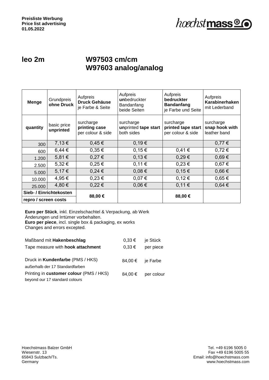

#### **leo 2m W97503 cm/cm W97603 analog/analog**

| <b>Menge</b>            | Grundpreis<br>ohne Druck | Aufpreis<br><b>Druck Gehäuse</b><br>je Farbe & Seite | Aufpreis<br>unbedruckter<br>Bandanfang<br>beide Seiten | Aufpreis<br>bedruckter<br><b>Bandanfang</b><br>je Farbe und Seite | Aufpreis<br>Karabinerhaken<br>mit Lederband |
|-------------------------|--------------------------|------------------------------------------------------|--------------------------------------------------------|-------------------------------------------------------------------|---------------------------------------------|
| quantity                | basic price<br>unprinted | surcharge<br>printing case<br>per colour & side      | surcharge<br>unprinted tape start<br>both sides        | surcharge<br>printed tape start<br>per colour & side              | surcharge<br>snap hook with<br>leather band |
| 300                     | 7,13€                    | 0,45€                                                | 0,19€                                                  |                                                                   | $0,77 \in$                                  |
| 600                     | $6,44 \in$               | $0,35 \in$                                           | 0,15€                                                  | 0,41€                                                             | $0,72 \in$                                  |
| 1.200                   | 5,81€                    | 0,27€                                                | 0,13€                                                  | 0,29€                                                             | $0,69 \in$                                  |
| 2.500                   | $5,32 \in$               | $0,25 \in$                                           | 0,11€                                                  | $0,23 \in$                                                        | 0,67€                                       |
| 5.000                   | 5,17€                    | $0,24 \in$                                           | $0,08 \in$                                             | 0,15€                                                             | $0,66 \in$                                  |
| 10.000                  | 4,95 €                   | 0,23€                                                | 0,07€                                                  | 0,12€                                                             | $0,65 \in$                                  |
| 25.000                  | 4,80 €                   | $0,22 \in$                                           | 0,06€                                                  | 0,11€                                                             | 0,64€                                       |
| Sieb- / Einrichtekosten |                          | 88,00 €                                              |                                                        |                                                                   |                                             |
| repro / screen costs    |                          |                                                      |                                                        | 88,00€                                                            |                                             |

| Maßband mit Hakenbeschlag               | $0,33 \in$                | je Stück   |
|-----------------------------------------|---------------------------|------------|
| Tape measure with hook attachment       | $0,33 \in$                | per piece  |
|                                         |                           |            |
| Druck in Kundenfarbe (PMS / HKS)        | 84,00 $\epsilon$ je Farbe |            |
| außerhalb der 17 Standardfarben         |                           |            |
| Printing in customer colour (PMS / HKS) | 84,00 €                   | per colour |
| beyond our 17 standard colours          |                           |            |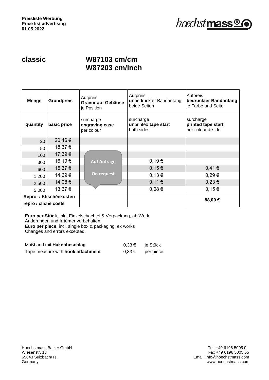

#### **classic W87103 cm/cm W87203 cm/inch**

| <b>Menge</b>            | <b>Grundpreis</b> | Aufpreis<br><b>Gravur auf Gehäuse</b><br>je Position | Aufpreis<br>unbedruckter Bandanfang<br>beide Seiten | Aufpreis<br>bedruckter Bandanfang<br>je Farbe und Seite |
|-------------------------|-------------------|------------------------------------------------------|-----------------------------------------------------|---------------------------------------------------------|
| quantity                | basic price       | surcharge<br>engraving case<br>per colour            | surcharge<br>unprinted tape start<br>both sides     | surcharge<br>printed tape start<br>per colour & side    |
| 20                      | 20,46€            |                                                      |                                                     |                                                         |
| 50                      | 18,67€            |                                                      |                                                     |                                                         |
| 100                     | 17,39€            |                                                      |                                                     |                                                         |
| 300                     | 16,19€            | <b>Auf Anfrage</b>                                   | 0,19€                                               |                                                         |
| 600                     | 15,37€            |                                                      | 0,15€                                               | 0,41€                                                   |
| 1.200                   | 14,69€            | On request                                           | 0,13€                                               | 0,29€                                                   |
| 2.500                   | 14,08€            |                                                      | 0,11€                                               | 0,23€                                                   |
| 5.000                   | 13,67€            |                                                      | 0,08€                                               | 0,15€                                                   |
| Repro- / Klischéekosten |                   |                                                      |                                                     |                                                         |
| repro / cliché costs    |                   |                                                      |                                                     | 88,00€                                                  |

| Maßband mit Hakenbeschlag                | $0.33 \in$ | ie Stück  |
|------------------------------------------|------------|-----------|
| Tape measure with <b>hook attachment</b> | $0.33 \in$ | per piece |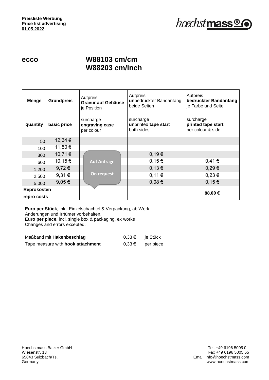#### **ecco W88103 cm/cm W88203 cm/inch**

| <b>Menge</b>               | <b>Grundpreis</b> | Aufpreis<br>Gravur auf Gehäuse<br>je Position | Aufpreis<br>unbedruckter Bandanfang<br>beide Seiten | Aufpreis<br>bedruckter Bandanfang<br>je Farbe und Seite |
|----------------------------|-------------------|-----------------------------------------------|-----------------------------------------------------|---------------------------------------------------------|
| quantity                   | basic price       | surcharge<br>engraving case<br>per colour     | surcharge<br>unprinted tape start<br>both sides     | surcharge<br>printed tape start<br>per colour & side    |
| 50                         | 12,34 €           |                                               |                                                     |                                                         |
| 100                        | 11,50€            |                                               |                                                     |                                                         |
| 300                        | 10,71€            |                                               | 0,19€                                               |                                                         |
| 600                        | 10,15€            | <b>Auf Anfrage</b>                            | 0,15€                                               | 0,41€                                                   |
| 1.200                      | 9,72€             |                                               | 0,13€                                               | 0,29€                                                   |
| 2.500                      | 9,31€             | On request                                    | 0,11€                                               | 0,23€                                                   |
| 5.000                      | $9,05 \in$        |                                               | 0,08€                                               | 0,15€                                                   |
| Reprokosten<br>repro costs |                   |                                               |                                                     | 88,00 €                                                 |

**Euro per Stück**, inkl. Einzelschachtel & Verpackung, ab Werk Änderungen und Irrtümer vorbehalten. **Euro per piece**, incl. single box & packaging, ex works

Changes and errors excepted.

| Maßband mit Hakenbeschlag                | $0.33 \in$ | ie Stück  |
|------------------------------------------|------------|-----------|
| Tape measure with <b>hook attachment</b> | $0.33 \in$ | per piece |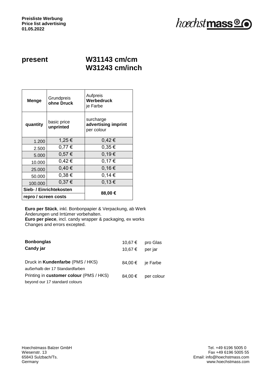

#### **present W31143 cm/cm W31243 cm/inch**

| Menge                | Grundpreis<br>ohne Druck | Aufpreis<br>Werbedruck<br>je Farbe             |
|----------------------|--------------------------|------------------------------------------------|
| quantity             | basic price<br>unprinted | surcharge<br>advertising imprint<br>per colour |
| 1.200                | 1,25 €                   | $0,42 \in$                                     |
| 2.500                | 0,77€                    | $0,35 \in$                                     |
| 5.000                | 0,57€                    | 0,19€                                          |
| 10.000               | $0,42 \in$               | 0,17€                                          |
| 25.000               | 0,40€                    | 0,16€                                          |
| 50.000               | 0,38€                    | 0,14€                                          |
| 100.000              | 0,37€                    | 0,13€                                          |
|                      | Sieb- / Einrichtekosten  |                                                |
| repro / screen costs |                          | 88,00 €                                        |

**Euro per Stück**, inkl. Bonbonpapier & Verpackung, ab Werk Änderungen und Irrtümer vorbehalten. **Euro per piece**, incl. candy wrapper & packaging, ex works Changes and errors excepted.

| <b>Bonbonglas</b>                                                          | 10,67 € | pro Glas         |
|----------------------------------------------------------------------------|---------|------------------|
| Candy jar                                                                  | 10.67 € | per jar          |
| Druck in <b>Kundenfarbe</b> (PMS / HKS)<br>außerhalb der 17 Standardfarben |         | 84,00 € ie Farbe |
| Printing in customer colour (PMS / HKS)<br>beyond our 17 standard colours  | 84,00 € | per colour       |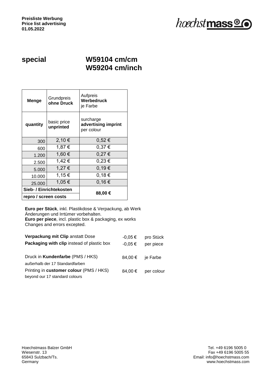

#### **special W59104 cm/cm W59204 cm/inch**

| Menge                | Grundpreis<br>ohne Druck | Aufpreis<br>Werbedruck<br>je Farbe             |
|----------------------|--------------------------|------------------------------------------------|
| quantity             | basic price<br>unprinted | surcharge<br>advertising imprint<br>per colour |
| 300                  | 2,10 €                   | $0,52 \in$                                     |
| 600                  | 1,87 €                   | 0,37€                                          |
| 1.200                | 1,60 €                   | 0,27€                                          |
| 2.500                | 1,42 €                   | $0,23 \in$                                     |
| 5.000                | 1,27 €                   | 0,19€                                          |
| 10.000               | 1,15 €                   | 0,18€                                          |
| 25.000               | 1,05 €                   | 0,16€                                          |
|                      | Sieb- / Einrichtekosten  | 88,00 €                                        |
| repro / screen costs |                          |                                                |

| Verpackung mit Clip anstatt Dose<br>Packaging with clip instead of plastic box | $-0.05 \in$<br>$-0.05 \in$ | pro Stück<br>per piece |
|--------------------------------------------------------------------------------|----------------------------|------------------------|
| Druck in Kundenfarbe (PMS / HKS)<br>außerhalb der 17 Standardfarben            | 84,00 €                    | je Farbe               |
| Printing in customer colour (PMS / HKS)<br>beyond our 17 standard colours      | 84,00 €                    | per colour             |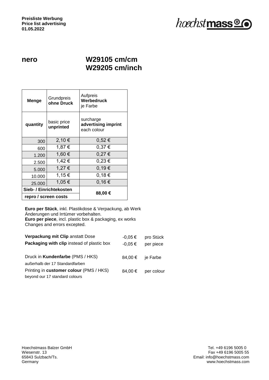

#### **nero W29105 cm/cm W29205 cm/inch**

| Menge                | Grundpreis<br>ohne Druck | Aufpreis<br>Werbedruck<br>je Farbe              |
|----------------------|--------------------------|-------------------------------------------------|
| quantity             | basic price<br>unprinted | surcharge<br>advertising imprint<br>each colour |
| 300                  | 2,10€                    | 0,52€                                           |
| 600                  | 1,87 €                   | 0,37€                                           |
| 1.200                | 1,60 €                   | 0,27€                                           |
| 2.500                | 1,42 €                   | 0,23€                                           |
| 5.000                | 1,27 €                   | 0.19€                                           |
| 10.000               | 1,15€                    | 0,18€                                           |
| 25.000               | 1,05 €                   | 0,16€                                           |
|                      | Sieb- / Einrichtekosten  |                                                 |
| repro / screen costs |                          | 88,00€                                          |

| Verpackung mit Clip anstatt Dose<br>Packaging with clip instead of plastic box | $-0.05 \in$<br>$-0.05 \in$ | pro Stück<br>per piece |
|--------------------------------------------------------------------------------|----------------------------|------------------------|
| Druck in Kundenfarbe (PMS / HKS)<br>außerhalb der 17 Standardfarben            | 84,00 €                    | je Farbe               |
| Printing in customer colour (PMS / HKS)<br>beyond our 17 standard colours      | 84,00 €                    | per colour             |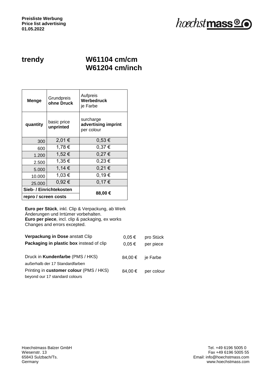

#### **trendy W61104 cm/cm W61204 cm/inch**

| Menge                   | Grundpreis<br>ohne Druck | Aufpreis<br>Werbedruck<br>je Farbe             |  |
|-------------------------|--------------------------|------------------------------------------------|--|
| quantity                | basic price<br>unprinted | surcharge<br>advertising imprint<br>per colour |  |
| 300                     | 2,01€                    | $0,53 \in$                                     |  |
| 600                     | 1,78€                    | 0,37€                                          |  |
| 1.200                   | 1,52 €                   | 0,27€                                          |  |
| 2.500                   | 1,35 €                   | 0,23€                                          |  |
| 5.000                   | 1,14 €                   | 0,21€                                          |  |
| 10.000                  | 1,03 €                   | 0,19€                                          |  |
| 25.000                  | 0,92€                    | 0,17€                                          |  |
| Sieb- / Einrichtekosten |                          | 88,00 €                                        |  |
| repro / screen costs    |                          |                                                |  |

| Verpackung in Dose anstatt Clip<br>Packaging in plastic box instead of clip | $0,05 \in$<br>$0,05 \in$ | pro Stück<br>per piece |
|-----------------------------------------------------------------------------|--------------------------|------------------------|
| Druck in Kundenfarbe (PMS / HKS)<br>außerhalb der 17 Standardfarben         | 84,00 €                  | je Farbe               |
| Printing in customer colour (PMS / HKS)<br>beyond our 17 standard colours   | 84.00 €                  | per colour             |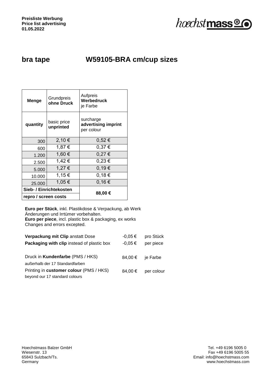

### **bra tape W59105-BRA cm/cup sizes**

| Menge                   | Grundpreis<br>ohne Druck | Aufpreis<br>Werbedruck<br>je Farbe             |  |
|-------------------------|--------------------------|------------------------------------------------|--|
| quantity                | basic price<br>unprinted | surcharge<br>advertising imprint<br>per colour |  |
| 300                     | 2,10 €                   | 0,52€                                          |  |
| 600                     | 1,87 €                   | 0,37€                                          |  |
| 1.200                   | 1,60 €                   | 0,27€                                          |  |
| 2.500                   | 1,42 €                   | $0,23 \in$                                     |  |
| 5.000                   | 1,27 €                   | 0,19€                                          |  |
| 10.000                  | 1,15€                    | 0,18€                                          |  |
| 25.000                  | 1,05 €                   | 0,16€                                          |  |
| Sieb- / Einrichtekosten |                          |                                                |  |
| repro / screen costs    |                          | 88,00 €                                        |  |

| Verpackung mit Clip anstatt Dose           | $-0.05 \in$ | pro Stück  |
|--------------------------------------------|-------------|------------|
| Packaging with clip instead of plastic box | $-0.05 \in$ | per piece  |
|                                            |             |            |
| Druck in Kundenfarbe (PMS / HKS)           | 84,00 €     | je Farbe   |
| außerhalb der 17 Standardfarben            |             |            |
| Printing in customer colour (PMS / HKS)    | 84.00 €     | per colour |
| beyond our 17 standard colours             |             |            |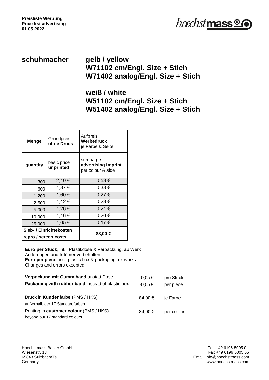

#### **schuhmacher gelb / yellow W71102 cm/Engl. Size + Stich W71402 analog/Engl. Size + Stich**

#### **weiß / white W51102 cm/Engl. Size + Stich W51402 analog/Engl. Size + Stich**

| Menge                   | Grundpreis<br>ohne Druck | Aufpreis<br>Werbedruck<br>je Farbe & Seite            |  |
|-------------------------|--------------------------|-------------------------------------------------------|--|
| quantity                | basic price<br>unprinted | surcharge<br>advertising imprint<br>per colour & side |  |
| 300                     | 2,10 €                   | $0,53 \in$                                            |  |
| 600                     | 1,87 €                   | 0,38€                                                 |  |
| 1.200                   | 1,60 €                   | 0,27€                                                 |  |
| 2.500                   | 1,42 €                   | $0,23 \in$                                            |  |
| 5.000                   | 1,26 €                   | 0,21€                                                 |  |
| 10.000                  | 1,16€                    | $0,20 \in$                                            |  |
| 25.000                  | 1,05 €                   | 0,17€                                                 |  |
| Sieb- / Einrichtekosten |                          |                                                       |  |
| repro / screen costs    |                          | 88,00 €                                               |  |

| Verpackung mit Gummiband anstatt Dose                    | $-0.05 \in$ | pro Stück  |
|----------------------------------------------------------|-------------|------------|
| <b>Packaging with rubber band instead of plastic box</b> | $-0.05 \in$ | per piece  |
| Druck in Kundenfarbe (PMS / HKS)                         | $84.00 \in$ | je Farbe   |
| außerhalb der 17 Standardfarben                          |             |            |
| Printing in customer colour (PMS / HKS)                  | $84.00 \in$ | per colour |
| beyond our 17 standard colours                           |             |            |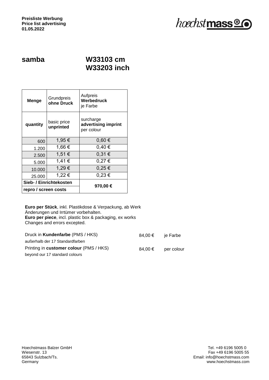

#### **samba W33103 cm W33203 inch**

| <b>Menge</b>            | Grundpreis<br>ohne Druck | Aufpreis<br>Werbedruck<br>je Farbe             |  |
|-------------------------|--------------------------|------------------------------------------------|--|
| quantity                | basic price<br>unprinted | surcharge<br>advertising imprint<br>per colour |  |
| 600                     | 1,95 €                   | $0,60 \in$                                     |  |
| 1.200                   | 1,66 €                   | 0,40€                                          |  |
| 2.500                   | 1,51 €                   | 0,31€                                          |  |
| 5.000                   | 1,41 €                   | 0,27€                                          |  |
| 10.000                  | 1,29€                    | 0,25€                                          |  |
| 25,000                  | 1,22 €                   | $0,23 \in$                                     |  |
| Sieb- / Einrichtekosten |                          |                                                |  |
| repro / screen costs    |                          | 970,00 €                                       |  |

| Druck in Kundenfarbe (PMS / HKS)        | 84.00 € | ie Farbe   |
|-----------------------------------------|---------|------------|
| außerhalb der 17 Standardfarben         |         |            |
| Printing in customer colour (PMS / HKS) | 84.00 € | per colour |
| beyond our 17 standard colours          |         |            |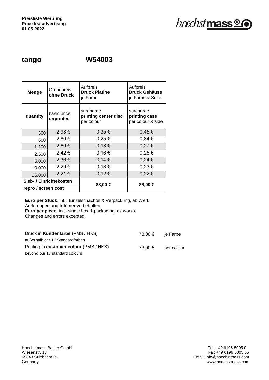hoechstmass<sup>®</sup>

#### **tango W54003**

| <b>Menge</b>            | Grundpreis<br>ohne Druck | Aufpreis<br><b>Druck Platine</b><br>je Farbe    | Aufpreis<br><b>Druck Gehäuse</b><br>je Farbe & Seite |  |
|-------------------------|--------------------------|-------------------------------------------------|------------------------------------------------------|--|
| quantity                | basic price<br>unprinted | surcharge<br>printing center disc<br>per colour | surcharge<br>printing case<br>per colour & side      |  |
| 300                     | 2,93€                    | $0,35 \in$                                      | 0,45€                                                |  |
| 600                     | 2,80 €                   | $0,25 \in$                                      | 0,34€                                                |  |
| 1.200                   | 2,60 €                   | 0,18€                                           | 0,27€                                                |  |
| 2.500                   | 2,42€                    | 0,16€                                           | 0,25€                                                |  |
| 5.000                   | 2,36 €                   | 0,14€                                           | $0,24 \in$                                           |  |
| 10.000                  | 2,29€                    | 0,13€                                           | $0,23 \in$                                           |  |
| 25.000                  | 2,21€                    | 0,12€                                           | 0,22€                                                |  |
| Sieb- / Einrichtekosten |                          |                                                 |                                                      |  |
| repro / screen cost     |                          | 88,00 €                                         | 88,00€                                               |  |

| Druck in Kundenfarbe (PMS / HKS)        | 78.00 € | ie Farbe   |
|-----------------------------------------|---------|------------|
| außerhalb der 17 Standardfarben         |         |            |
| Printing in customer colour (PMS / HKS) | 78.00 € | per colour |
| beyond our 17 standard colours          |         |            |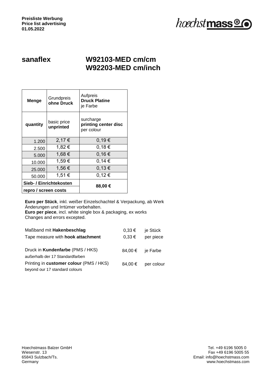

#### **sanaflex W92103-MED cm/cm W92203-MED cm/inch**

| Grundpreis<br>Menge<br>ohne Druck |                          | Aufpreis<br><b>Druck Platine</b><br>je Farbe    |  |
|-----------------------------------|--------------------------|-------------------------------------------------|--|
| quantity                          | basic price<br>unprinted | surcharge<br>printing center disc<br>per colour |  |
| 1.200                             | 2,17€                    | 0,19€                                           |  |
| 2.500                             | 1,82 €                   | 0,18€                                           |  |
| 5.000                             | 1,68€                    | 0,16€                                           |  |
| 10.000                            | 1,59€                    | 0,14€                                           |  |
| 25.000                            | 1,56 €                   | 0,13€                                           |  |
| 50.000                            | 1,51 €                   | 0,12€                                           |  |
| Sieb- / Einrichtekosten           |                          | 88,00 €                                         |  |
| repro / screen costs              |                          |                                                 |  |

| Maßband mit Hakenbeschlag<br>Tape measure with <b>hook attachment</b>     | $0,33 \in$<br>$0,33 \in$ | je Stück<br>per piece |
|---------------------------------------------------------------------------|--------------------------|-----------------------|
| Druck in Kundenfarbe (PMS / HKS)<br>außerhalb der 17 Standardfarben       |                          | 84,00 € je Farbe      |
| Printing in customer colour (PMS / HKS)<br>beyond our 17 standard colours | 84,00 €                  | per colour            |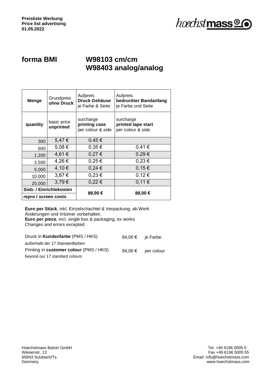

### **forma BMI W98103 cm/cm W98403 analog/analog**

| <b>Menge</b>            | Grundpreis<br>ohne Druck | Aufpreis<br><b>Druck Gehäuse</b><br>je Farbe & Seite | Aufpreis<br>bedruckter Bandanfang<br>je Farbe und Seite |  |
|-------------------------|--------------------------|------------------------------------------------------|---------------------------------------------------------|--|
| quantity                | basic price<br>unprinted | surcharge<br>printing case<br>per colour & side      | surcharge<br>printed tape start<br>per colour & side    |  |
| 300                     | 5,47€                    | 0,45€                                                |                                                         |  |
| 600                     | 5,08€                    | $0.35 \in$                                           | 0,41€                                                   |  |
| 1.200                   | 4,61 €                   | 0,27€                                                | 0,29€                                                   |  |
| 2.500                   | 4,26€                    | $0,25 \in$                                           | $0,23 \in$                                              |  |
| 5.000                   | 4,10 €                   | 0,24€                                                | 0,15€                                                   |  |
| 10.000                  | 3,87 €                   | $0,23 \in$                                           | 0,12€                                                   |  |
| 25,000                  | 3,79€                    | $0,22 \in$                                           | 0,11€                                                   |  |
| Sieb- / Einrichtekosten |                          | 88,00€                                               | 88,00 €                                                 |  |
| repro / screen costs    |                          |                                                      |                                                         |  |

| Druck in Kundenfarbe (PMS / HKS)        | 84,00 € ie Farbe |            |
|-----------------------------------------|------------------|------------|
| außerhalb der 17 Standardfarben         |                  |            |
| Printing in customer colour (PMS / HKS) | 84.00 €          | per colour |
| beyond our 17 standard colours          |                  |            |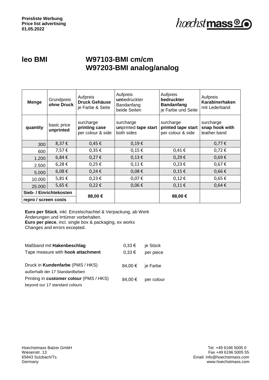

### **leo BMI W97103-BMI cm/cm W97203-BMI analog/analog**

| <b>Menge</b>            | Grundpreis<br>ohne Druck | Aufpreis<br><b>Druck Gehäuse</b><br>je Farbe & Seite | Aufpreis<br>unbedruckter<br>Bandanfang<br>beide Seiten | Aufpreis<br>bedruckter<br><b>Bandanfang</b><br>je Farbe und Seite | Aufpreis<br>Karabinerhaken<br>mit Lederband |
|-------------------------|--------------------------|------------------------------------------------------|--------------------------------------------------------|-------------------------------------------------------------------|---------------------------------------------|
| quantity                | basic price<br>unprinted | surcharge<br>printing case<br>per colour & side      | surcharge<br>unprinted tape start<br>both sides        | surcharge<br>printed tape start<br>per colour & side              | surcharge<br>snap hook with<br>leather band |
| 300                     | 8,37€                    | $0,45 \in$                                           | $0,19 \in$                                             |                                                                   | $0,77 \in$                                  |
| 600                     | 7,57€                    | $0,35 \in$                                           | $0,15 \in$                                             | 0,41€                                                             | $0,72 \notin$                               |
| 1.200                   | 6,84€                    | $0,27 \in$                                           | $0,13 \in$                                             | $0,29 \in$                                                        | $0,69 \in$                                  |
| 2.500                   | 6,28€                    | $0,25 \in$                                           | $0,11 \in$                                             | $0,23 \in$                                                        | $0,67 \in$                                  |
| 5.000                   | 6,08€                    | 0,24€                                                | $0,08 \in$                                             | $0,15 \in$                                                        | $0,66 \in$                                  |
| 10.000                  | 5,81€                    | $0,23 \in$                                           | $0,07 \in$                                             | 0,12€                                                             | $0,65 \in$                                  |
| 25.000                  | 5,65€                    | $0,22 \in$                                           | $0,06 \in$                                             | 0,11€                                                             | $0,64 \in$                                  |
| Sieb- / Einrichtekosten |                          | 88,00 €                                              |                                                        | 88,00€                                                            |                                             |
| repro / screen costs    |                          |                                                      |                                                        |                                                                   |                                             |

| Maßband mit Hakenbeschlag               | $0,33 \in$ | je Stück   |
|-----------------------------------------|------------|------------|
| Tape measure with hook attachment       | $0,33 \in$ | per piece  |
|                                         |            |            |
| Druck in Kundenfarbe (PMS / HKS)        | 84,00 €    | je Farbe   |
| außerhalb der 17 Standardfarben         |            |            |
| Printing in customer colour (PMS / HKS) | 84.00 €    | per colour |
| beyond our 17 standard colours          |            |            |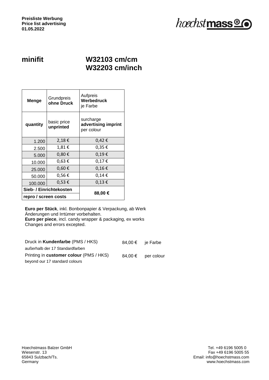

#### **minifit W32103 cm/cm W32203 cm/inch**

| Menge                                | Grundpreis<br>ohne Druck | Aufpreis<br>Werbedruck<br>je Farbe             |
|--------------------------------------|--------------------------|------------------------------------------------|
| basic price<br>quantity<br>unprinted |                          | surcharge<br>advertising imprint<br>per colour |
| 1.200                                | 2,18€                    | $0,42 \in$                                     |
| 2.500                                | 1,81€                    | 0,35 €                                         |
| 5.000                                | $0,80 \in$               | 0,19€                                          |
| 10.000                               | 0,63€                    | 0,17€                                          |
| 25.000                               | $0,60 \in$               | 0,16€                                          |
| 50.000                               | 0,56€                    | 0,14€                                          |
| 100.000                              | 0,53€                    | $0,13 \in$                                     |
|                                      | Sieb- / Einrichtekosten  |                                                |
| repro / screen costs                 |                          | 88,00 €                                        |

**Euro per Stück**, inkl. Bonbonpapier & Verpackung, ab Werk Änderungen und Irrtümer vorbehalten. **Euro per piece**, incl. candy wrapper & packaging, ex works Changes and errors excepted.

| Druck in Kundenfarbe (PMS / HKS)        |         | 84,00 € ie Farbe |
|-----------------------------------------|---------|------------------|
| außerhalb der 17 Standardfarben         |         |                  |
| Printing in customer colour (PMS / HKS) | 84.00 € | per colour       |
| beyond our 17 standard colours          |         |                  |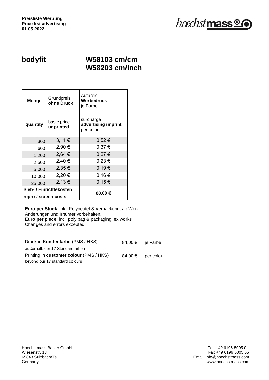

#### **bodyfit W58103 cm/cm W58203 cm/inch**

| Menge                                | Grundpreis<br>ohne Druck | Aufpreis<br>Werbedruck<br>je Farbe             |  |
|--------------------------------------|--------------------------|------------------------------------------------|--|
| basic price<br>quantity<br>unprinted |                          | surcharge<br>advertising imprint<br>per colour |  |
| 300                                  | 3,11€                    | 0,52€                                          |  |
| 600                                  | 2,90 €                   | 0,37€                                          |  |
| 1.200                                | 2,64 €                   | 0,27€                                          |  |
| 2.500                                | 2,40 €                   | $0,23 \in$                                     |  |
| 5.000                                | 2,35€                    | 0.19€                                          |  |
| 10.000                               | 2,20 €                   | 0,16€                                          |  |
| 25.000                               | 2,13€                    | 0,15€                                          |  |
| Sieb- / Einrichtekosten              |                          |                                                |  |
| repro / screen costs                 |                          | 88,00€                                         |  |

| Druck in Kundenfarbe (PMS / HKS)        |         | 84,00 € je Farbe |
|-----------------------------------------|---------|------------------|
| außerhalb der 17 Standardfarben         |         |                  |
| Printing in customer colour (PMS / HKS) | 84.00 € | per colour       |
| beyond our 17 standard colours          |         |                  |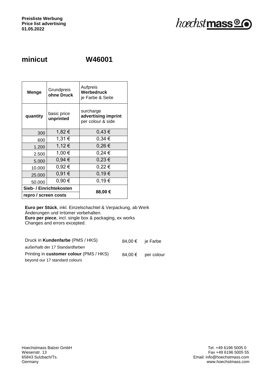

#### **minicut W46001**

| Menge                   | Grundpreis<br>ohne Druck | Aufpreis<br>Werbedruck<br>je Farbe & Seite            |  |
|-------------------------|--------------------------|-------------------------------------------------------|--|
| quantity                | basic price<br>unprinted | surcharge<br>advertising imprint<br>per colour & side |  |
| 300                     | 1,82 €                   | 0,43€                                                 |  |
| 600                     | 1,31 €                   | 0,34€                                                 |  |
| 1.200                   | 1,12€                    | $0,26 \in$                                            |  |
| 2.500                   | 1,00 €                   | $0,24 \in$                                            |  |
| 5.000                   | 0,94€                    | $0,23 \in$                                            |  |
| 10.000                  | 0,92 €                   | $0,22 \in$                                            |  |
| 25.000                  | 0,91€                    | 0,19€                                                 |  |
| 50.000                  | 0,90€                    | 0,19€                                                 |  |
| Sieb- / Einrichtekosten |                          |                                                       |  |
| repro / screen costs    |                          | 88,00€                                                |  |

| Druck in Kundenfarbe (PMS / HKS)        | 84,00 € ie Farbe |            |
|-----------------------------------------|------------------|------------|
| außerhalb der 17 Standardfarben         |                  |            |
| Printing in customer colour (PMS / HKS) | 84.00 €          | per colour |
| beyond our 17 standard colours          |                  |            |